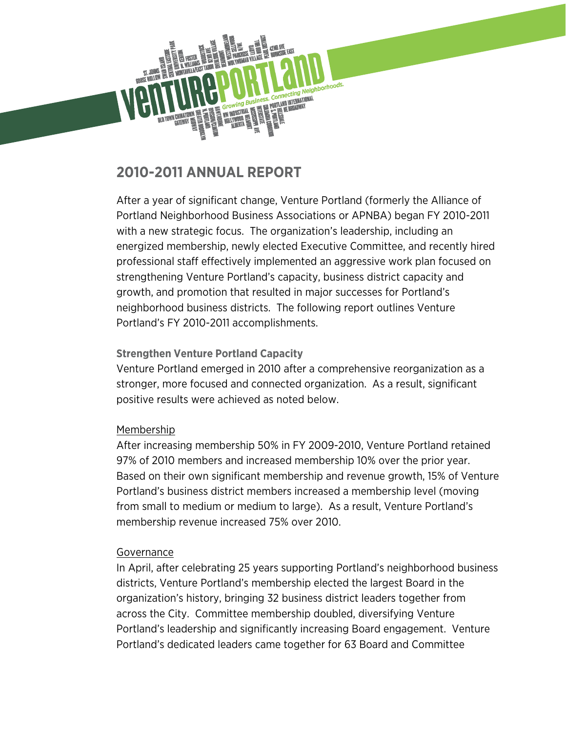

# **2010-2011 ANNUAL REPORT**

After a year of significant change, Venture Portland (formerly the Alliance of Portland Neighborhood Business Associations or APNBA) began FY 2010-2011 with a new strategic focus. The organization's leadership, including an energized membership, newly elected Executive Committee, and recently hired professional staff effectively implemented an aggressive work plan focused on strengthening Venture Portland's capacity, business district capacity and growth, and promotion that resulted in major successes for Portland's neighborhood business districts. The following report outlines Venture Portland's FY 2010-2011 accomplishments.

# **Strengthen Venture Portland Capacity**

Venture Portland emerged in 2010 after a comprehensive reorganization as a stronger, more focused and connected organization. As a result, significant positive results were achieved as noted below.

# Membership

After increasing membership 50% in FY 2009-2010, Venture Portland retained 97% of 2010 members and increased membership 10% over the prior year. Based on their own significant membership and revenue growth, 15% of Venture Portland's business district members increased a membership level (moving from small to medium or medium to large). As a result, Venture Portland's membership revenue increased 75% over 2010.

## **Governance**

In April, after celebrating 25 years supporting Portland's neighborhood business districts, Venture Portland's membership elected the largest Board in the organization's history, bringing 32 business district leaders together from across the City. Committee membership doubled, diversifying Venture Portland's leadership and significantly increasing Board engagement. Venture Portland's dedicated leaders came together for 63 Board and Committee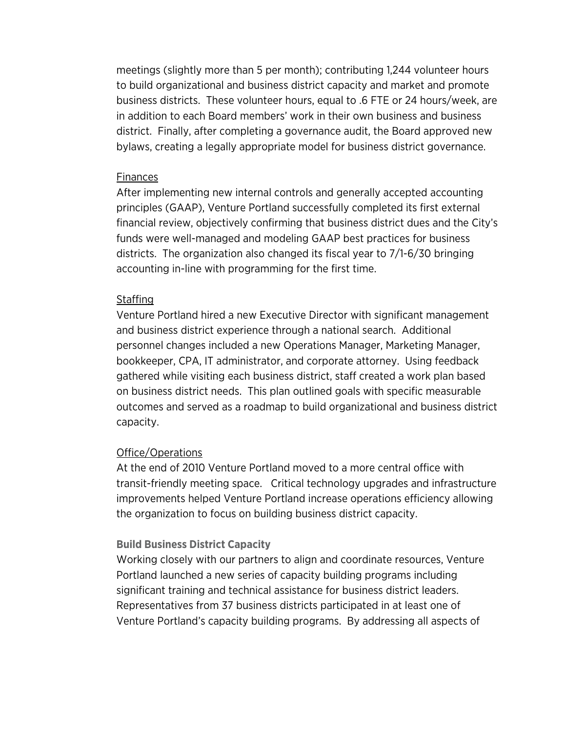meetings (slightly more than 5 per month); contributing 1,244 volunteer hours to build organizational and business district capacity and market and promote business districts. These volunteer hours, equal to .6 FTE or 24 hours/week, are in addition to each Board members' work in their own business and business district. Finally, after completing a governance audit, the Board approved new bylaws, creating a legally appropriate model for business district governance.

#### Finances

After implementing new internal controls and generally accepted accounting principles (GAAP), Venture Portland successfully completed its first external financial review, objectively confirming that business district dues and the City's funds were well-managed and modeling GAAP best practices for business districts. The organization also changed its fiscal year to 7/1-6/30 bringing accounting in-line with programming for the first time.

## Staffing

Venture Portland hired a new Executive Director with significant management and business district experience through a national search. Additional personnel changes included a new Operations Manager, Marketing Manager, bookkeeper, CPA, IT administrator, and corporate attorney. Using feedback gathered while visiting each business district, staff created a work plan based on business district needs. This plan outlined goals with specific measurable outcomes and served as a roadmap to build organizational and business district capacity.

## Office/Operations

At the end of 2010 Venture Portland moved to a more central office with transit-friendly meeting space. Critical technology upgrades and infrastructure improvements helped Venture Portland increase operations efficiency allowing the organization to focus on building business district capacity.

## **Build Business District Capacity**

Working closely with our partners to align and coordinate resources, Venture Portland launched a new series of capacity building programs including significant training and technical assistance for business district leaders. Representatives from 37 business districts participated in at least one of Venture Portland's capacity building programs. By addressing all aspects of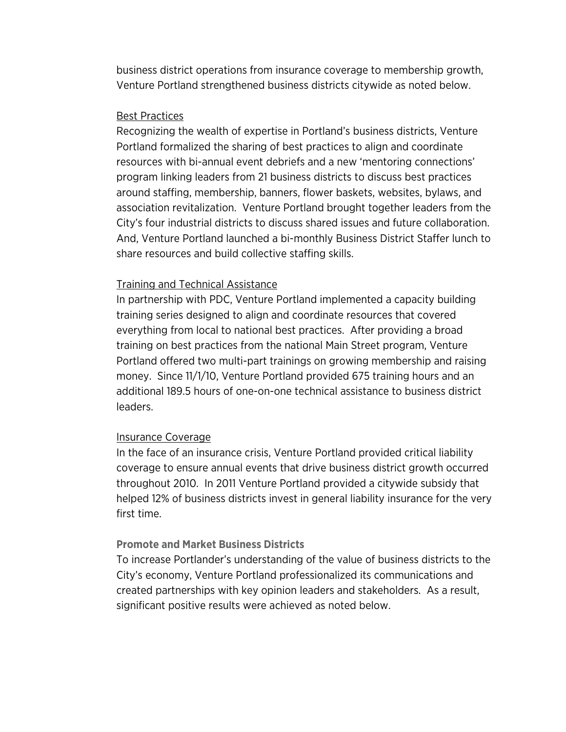business district operations from insurance coverage to membership growth, Venture Portland strengthened business districts citywide as noted below.

#### Best Practices

Recognizing the wealth of expertise in Portland's business districts, Venture Portland formalized the sharing of best practices to align and coordinate resources with bi-annual event debriefs and a new 'mentoring connections' program linking leaders from 21 business districts to discuss best practices around staffing, membership, banners, flower baskets, websites, bylaws, and association revitalization. Venture Portland brought together leaders from the City's four industrial districts to discuss shared issues and future collaboration. And, Venture Portland launched a bi-monthly Business District Staffer lunch to share resources and build collective staffing skills.

#### Training and Technical Assistance

In partnership with PDC, Venture Portland implemented a capacity building training series designed to align and coordinate resources that covered everything from local to national best practices. After providing a broad training on best practices from the national Main Street program, Venture Portland offered two multi-part trainings on growing membership and raising money. Since 11/1/10, Venture Portland provided 675 training hours and an additional 189.5 hours of one-on-one technical assistance to business district leaders.

#### Insurance Coverage

In the face of an insurance crisis, Venture Portland provided critical liability coverage to ensure annual events that drive business district growth occurred throughout 2010. In 2011 Venture Portland provided a citywide subsidy that helped 12% of business districts invest in general liability insurance for the very first time.

#### **Promote and Market Business Districts**

To increase Portlander's understanding of the value of business districts to the City's economy, Venture Portland professionalized its communications and created partnerships with key opinion leaders and stakeholders. As a result, significant positive results were achieved as noted below.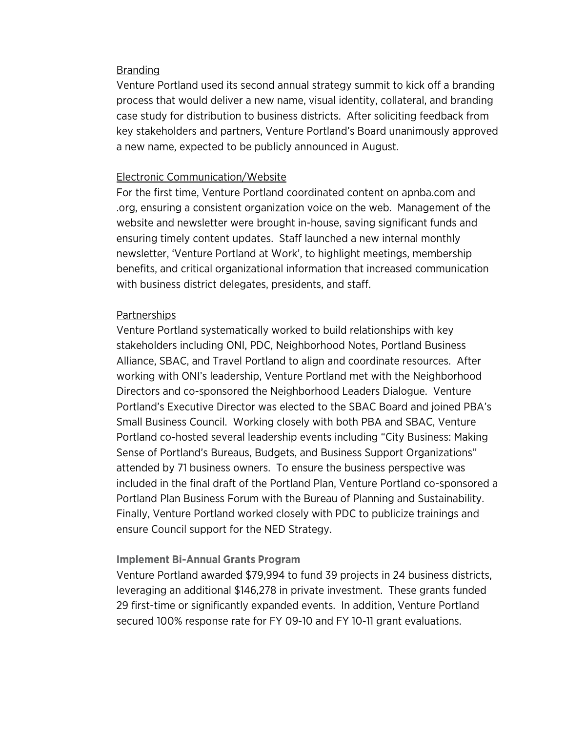#### **Branding**

Venture Portland used its second annual strategy summit to kick off a branding process that would deliver a new name, visual identity, collateral, and branding case study for distribution to business districts. After soliciting feedback from key stakeholders and partners, Venture Portland's Board unanimously approved a new name, expected to be publicly announced in August.

#### Electronic Communication/Website

For the first time, Venture Portland coordinated content on apnba.com and .org, ensuring a consistent organization voice on the web. Management of the website and newsletter were brought in-house, saving significant funds and ensuring timely content updates. Staff launched a new internal monthly newsletter, 'Venture Portland at Work', to highlight meetings, membership benefits, and critical organizational information that increased communication with business district delegates, presidents, and staff.

#### Partnerships

Venture Portland systematically worked to build relationships with key stakeholders including ONI, PDC, Neighborhood Notes, Portland Business Alliance, SBAC, and Travel Portland to align and coordinate resources. After working with ONI's leadership, Venture Portland met with the Neighborhood Directors and co-sponsored the Neighborhood Leaders Dialogue. Venture Portland's Executive Director was elected to the SBAC Board and joined PBA's Small Business Council. Working closely with both PBA and SBAC, Venture Portland co-hosted several leadership events including "City Business: Making Sense of Portland's Bureaus, Budgets, and Business Support Organizations" attended by 71 business owners. To ensure the business perspective was included in the final draft of the Portland Plan, Venture Portland co-sponsored a Portland Plan Business Forum with the Bureau of Planning and Sustainability. Finally, Venture Portland worked closely with PDC to publicize trainings and ensure Council support for the NED Strategy.

#### **Implement Bi-Annual Grants Program**

Venture Portland awarded \$79,994 to fund 39 projects in 24 business districts, leveraging an additional \$146,278 in private investment. These grants funded 29 first-time or significantly expanded events. In addition, Venture Portland secured 100% response rate for FY 09-10 and FY 10-11 grant evaluations.